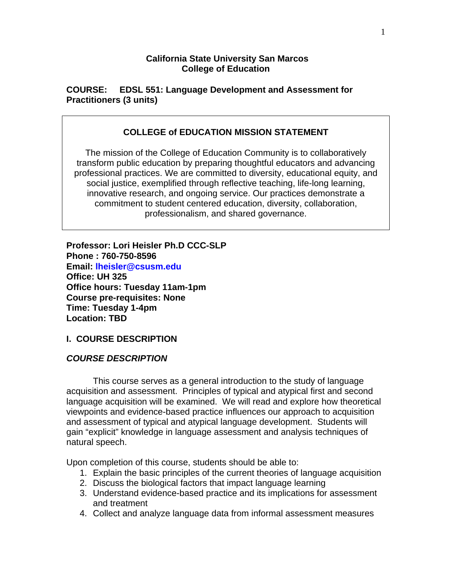### **California State University San Marcos College of Education**

**COURSE: EDSL 551: Language Development and Assessment for Practitioners (3 units)** 

## **COLLEGE of EDUCATION MISSION STATEMENT**

The mission of the College of Education Community is to collaboratively transform public education by preparing thoughtful educators and advancing professional practices. We are committed to diversity, educational equity, and social justice, exemplified through reflective teaching, life-long learning, innovative research, and ongoing service. Our practices demonstrate a commitment to student centered education, diversity, collaboration, professionalism, and shared governance.

**Professor: Lori Heisler Ph.D CCC-SLP Phone : 760-750-8596 Email: lheisler@csusm.edu Office: UH 325 Office hours: Tuesday 11am-1pm Course pre-requisites: None Time: Tuesday 1-4pm Location: TBD** 

## **I. COURSE DESCRIPTION**

#### *COURSE DESCRIPTION*

This course serves as a general introduction to the study of language acquisition and assessment. Principles of typical and atypical first and second language acquisition will be examined. We will read and explore how theoretical viewpoints and evidence-based practice influences our approach to acquisition and assessment of typical and atypical language development. Students will gain "explicit" knowledge in language assessment and analysis techniques of natural speech.

Upon completion of this course, students should be able to:

- 1. Explain the basic principles of the current theories of language acquisition
- 2. Discuss the biological factors that impact language learning
- 3. Understand evidence-based practice and its implications for assessment and treatment
- 4. Collect and analyze language data from informal assessment measures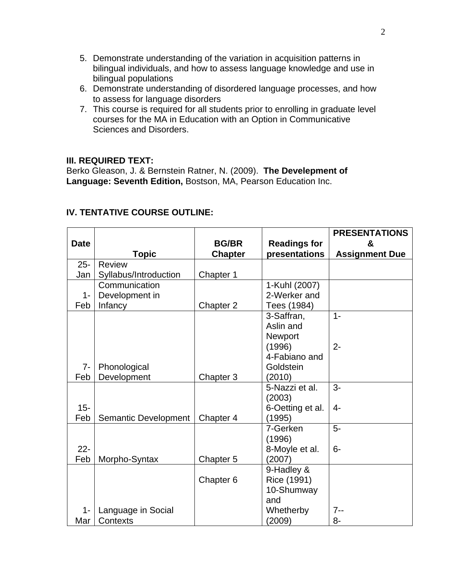- 5. Demonstrate understanding of the variation in acquisition patterns in bilingual individuals, and how to assess language knowledge and use in bilingual populations
- 6. Demonstrate understanding of disordered language processes, and how to assess for language disorders
- 7. This course is required for all students prior to enrolling in graduate level courses for the MA in Education with an Option in Communicative Sciences and Disorders.

### **III. REQUIRED TEXT:**

Berko Gleason, J. & Bernstein Ratner, N. (2009). **The Develepment of Language: Seventh Edition,** Bostson, MA, Pearson Education Inc.

|             |                       |                |                     | <b>PRESENTATIONS</b>  |
|-------------|-----------------------|----------------|---------------------|-----------------------|
| <b>Date</b> |                       | <b>BG/BR</b>   | <b>Readings for</b> | &                     |
|             | <b>Topic</b>          | <b>Chapter</b> | presentations       | <b>Assignment Due</b> |
| $25 -$      | <b>Review</b>         |                |                     |                       |
| Jan         | Syllabus/Introduction | Chapter 1      |                     |                       |
|             | Communication         |                | 1-Kuhl (2007)       |                       |
| $1 -$       | Development in        |                | 2-Werker and        |                       |
| Feb         | Infancy               | Chapter 2      | Tees (1984)         |                       |
|             |                       |                | 3-Saffran,          | $1 -$                 |
|             |                       |                | Aslin and           |                       |
|             |                       |                | Newport             |                       |
|             |                       |                | (1996)              | $2 -$                 |
|             |                       |                | 4-Fabiano and       |                       |
| $7-$        | Phonological          |                | Goldstein           |                       |
| Feb         | Development           | Chapter 3      | (2010)              |                       |
|             |                       |                | 5-Nazzi et al.      | $3-$                  |
|             |                       |                | (2003)              |                       |
| $15 -$      |                       |                | 6-Oetting et al.    | $4-$                  |
| Feb         | Semantic Development  | Chapter 4      | (1995)              |                       |
|             |                       |                | 7-Gerken            | $5-$                  |
|             |                       |                | (1996)              |                       |
| $22 -$      |                       |                | 8-Moyle et al.      | $6-$                  |
| Feb         | Morpho-Syntax         | Chapter 5      | (2007)              |                       |
|             |                       |                | 9-Hadley &          |                       |
|             |                       | Chapter 6      | Rice (1991)         |                       |
|             |                       |                | 10-Shumway          |                       |
|             |                       |                | and                 |                       |
| $1 -$       | Language in Social    |                | Whetherby           | $7 -$                 |
| Mar         | <b>Contexts</b>       |                | (2009)              | $8-$                  |

# **IV. TENTATIVE COURSE OUTLINE:**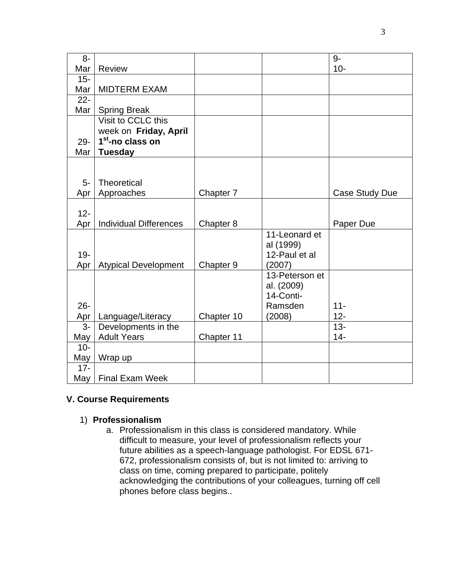| $8-$   |                               |            |                | $9-$           |
|--------|-------------------------------|------------|----------------|----------------|
| Mar    | <b>Review</b>                 |            |                | $10-$          |
| $15 -$ |                               |            |                |                |
| Mar    | <b>MIDTERM EXAM</b>           |            |                |                |
| $22 -$ |                               |            |                |                |
| Mar    | <b>Spring Break</b>           |            |                |                |
|        | Visit to CCLC this            |            |                |                |
|        | week on Friday, April         |            |                |                |
| 29-    | 1 <sup>st</sup> -no class on  |            |                |                |
| Mar    | <b>Tuesday</b>                |            |                |                |
|        |                               |            |                |                |
| 5-     | <b>Theoretical</b>            |            |                |                |
| Apr    | Approaches                    | Chapter 7  |                | Case Study Due |
|        |                               |            |                |                |
| $12 -$ |                               |            |                |                |
| Apr    | <b>Individual Differences</b> | Chapter 8  |                | Paper Due      |
|        |                               |            | 11-Leonard et  |                |
|        |                               |            | al (1999)      |                |
| $19 -$ |                               |            | 12-Paul et al  |                |
| Apr    | <b>Atypical Development</b>   | Chapter 9  | (2007)         |                |
|        |                               |            | 13-Peterson et |                |
|        |                               |            | al. (2009)     |                |
|        |                               |            | 14-Conti-      |                |
| $26 -$ |                               |            | Ramsden        | $11 -$         |
| Apr    | Language/Literacy             | Chapter 10 | (2008)         | $12 -$         |
| $3-$   | Developments in the           |            |                | $13 -$         |
| May    | <b>Adult Years</b>            | Chapter 11 |                | $14 -$         |
| $10 -$ |                               |            |                |                |
| May    | Wrap up                       |            |                |                |
| $17 -$ |                               |            |                |                |
| May    | <b>Final Exam Week</b>        |            |                |                |

# **V. Course Requirements**

### 1) **Professionalism**

a. Professionalism in this class is considered mandatory. While difficult to measure, your level of professionalism reflects your future abilities as a speech-language pathologist. For EDSL 671- 672, professionalism consists of, but is not limited to: arriving to class on time, coming prepared to participate, politely acknowledging the contributions of your colleagues, turning off cell phones before class begins..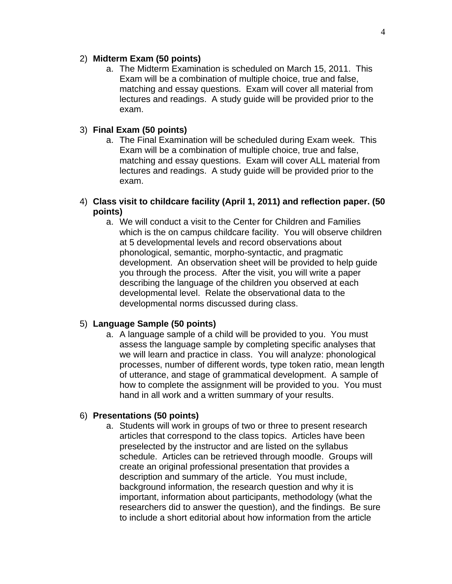#### 2) **Midterm Exam (50 points)**

a. The Midterm Examination is scheduled on March 15, 2011. This Exam will be a combination of multiple choice, true and false, matching and essay questions. Exam will cover all material from lectures and readings. A study guide will be provided prior to the exam.

### 3) **Final Exam (50 points)**

- a. The Final Examination will be scheduled during Exam week. This Exam will be a combination of multiple choice, true and false, matching and essay questions. Exam will cover ALL material from lectures and readings. A study guide will be provided prior to the exam.
- 4) **Class visit to childcare facility (April 1, 2011) and reflection paper. (50 points)** 
	- a. We will conduct a visit to the Center for Children and Families which is the on campus childcare facility. You will observe children at 5 developmental levels and record observations about phonological, semantic, morpho-syntactic, and pragmatic development. An observation sheet will be provided to help guide you through the process. After the visit, you will write a paper describing the language of the children you observed at each developmental level. Relate the observational data to the developmental norms discussed during class.

#### 5) **Language Sample (50 points)**

a. A language sample of a child will be provided to you. You must assess the language sample by completing specific analyses that we will learn and practice in class. You will analyze: phonological processes, number of different words, type token ratio, mean length of utterance, and stage of grammatical development. A sample of how to complete the assignment will be provided to you. You must hand in all work and a written summary of your results.

#### 6) **Presentations (50 points)**

a. Students will work in groups of two or three to present research articles that correspond to the class topics. Articles have been preselected by the instructor and are listed on the syllabus schedule. Articles can be retrieved through moodle. Groups will create an original professional presentation that provides a description and summary of the article. You must include, background information, the research question and why it is important, information about participants, methodology (what the researchers did to answer the question), and the findings. Be sure to include a short editorial about how information from the article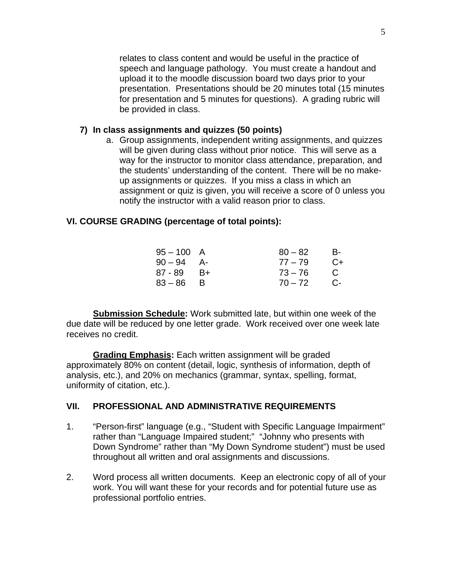relates to class content and would be useful in the practice of speech and language pathology. You must create a handout and upload it to the moodle discussion board two days prior to your presentation. Presentations should be 20 minutes total (15 minutes for presentation and 5 minutes for questions). A grading rubric will be provided in class.

### **7) In class assignments and quizzes (50 points)**

a. Group assignments, independent writing assignments, and quizzes will be given during class without prior notice. This will serve as a way for the instructor to monitor class attendance, preparation, and the students' understanding of the content. There will be no makeup assignments or quizzes. If you miss a class in which an assignment or quiz is given, you will receive a score of 0 unless you notify the instructor with a valid reason prior to class.

#### **VI. COURSE GRADING (percentage of total points):**

| 95 – 100 A      |      | $80 - 82$    | - B-           |
|-----------------|------|--------------|----------------|
| 90 – 94 A-      |      | $77 - 79$    | $C+$           |
| 87 - 89         | – B+ | $73 - 76$    | $\overline{C}$ |
| 83 – 86       B |      | $70 - 72$ C- |                |

**Submission Schedule:** Work submitted late, but within one week of the due date will be reduced by one letter grade. Work received over one week late receives no credit.

 uniformity of citation, etc.).  **Grading Emphasis:** Each written assignment will be graded approximately 80% on content (detail, logic, synthesis of information, depth of analysis, etc.), and 20% on mechanics (grammar, syntax, spelling, format,

#### **VII. PROFESSIONAL AND ADMINISTRATIVE REQUIREMENTS**

- 1. "Person-first" language (e.g., "Student with Specific Language Impairment" rather than "Language Impaired student;" "Johnny who presents with Down Syndrome" rather than "My Down Syndrome student") must be used throughout all written and oral assignments and discussions.
- 2. Word process all written documents. Keep an electronic copy of all of your work. You will want these for your records and for potential future use as professional portfolio entries.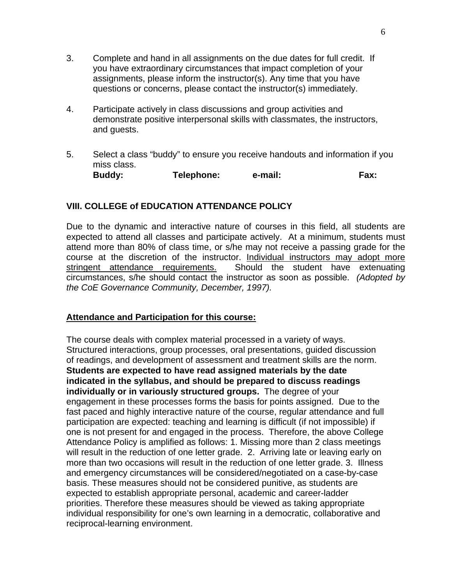- 3. Complete and hand in all assignments on the due dates for full credit. If you have extraordinary circumstances that impact completion of your assignments, please inform the instructor(s). Any time that you have questions or concerns, please contact the instructor(s) immediately.
- 4. Participate actively in class discussions and group activities and demonstrate positive interpersonal skills with classmates, the instructors, and guests.
- 5. Select a class "buddy" to ensure you receive handouts and information if you miss class. **Buddy: Telephone: e-mail: Fax:**

## **VIII. COLLEGE of EDUCATION ATTENDANCE POLICY**

Due to the dynamic and interactive nature of courses in this field, all students are expected to attend all classes and participate actively. At a minimum, students must attend more than 80% of class time, or s/he may not receive a passing grade for the course at the discretion of the instructor. Individual instructors may adopt more stringent attendance requirements. Should the student have extenuating circumstances, s/he should contact the instructor as soon as possible. *(Adopted by the CoE Governance Community, December, 1997).* 

#### **Attendance and Participation for this course:**

The course deals with complex material processed in a variety of ways. Structured interactions, group processes, oral presentations, guided discussion of readings, and development of assessment and treatment skills are the norm. **Students are expected to have read assigned materials by the date indicated in the syllabus, and should be prepared to discuss readings individually or in variously structured groups.** The degree of your engagement in these processes forms the basis for points assigned. Due to the fast paced and highly interactive nature of the course, regular attendance and full participation are expected: teaching and learning is difficult (if not impossible) if one is not present for and engaged in the process. Therefore, the above College Attendance Policy is amplified as follows: 1. Missing more than 2 class meetings will result in the reduction of one letter grade. 2. Arriving late or leaving early on more than two occasions will result in the reduction of one letter grade. 3. Illness and emergency circumstances will be considered/negotiated on a case-by-case basis. These measures should not be considered punitive, as students are expected to establish appropriate personal, academic and career-ladder priorities. Therefore these measures should be viewed as taking appropriate individual responsibility for one's own learning in a democratic, collaborative and reciprocal-learning environment.